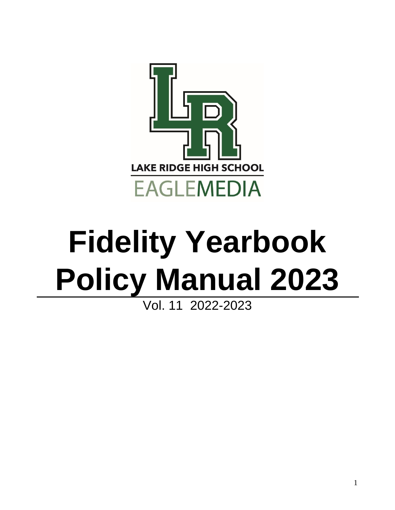

# **Fidelity Yearbook Policy Manual 2023**

## Vol. 11 2022-2023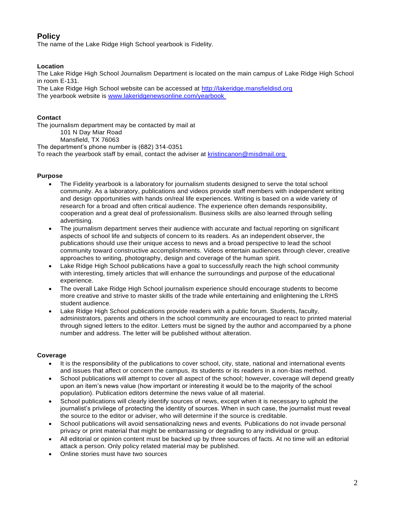### **Policy**

The name of the Lake Ridge High School yearbook is Fidelity.

#### **Location**

The Lake Ridge High School Journalism Department is located on the main campus of Lake Ridge High School in room E-131.

The Lake Ridge High School website can be accessed at [http://lakeridge.mansfieldisd.org](http://lakeridge.mansfieldisd.org/) The yearbook website is [www.lakeridgenewsonline.com/yearbook](http://www.lakeridgenewsonline.com/yearbook) 

#### **Contact**

The journalism department may be contacted by mail at 101 N Day Miar Road Mansfield, TX 76063 The department's phone number is (682) 314-0351

To reach the yearbook staff by email, contact the adviser at kristincanon@misdmail.org

#### **Purpose**

- The Fidelity yearbook is a laboratory for journalism students designed to serve the total school community. As a laboratory, publications and videos provide staff members with independent writing and design opportunities with hands on/real life experiences. Writing is based on a wide variety of research for a broad and often critical audience. The experience often demands responsibility, cooperation and a great deal of professionalism. Business skills are also learned through selling advertising.
- The journalism department serves their audience with accurate and factual reporting on significant aspects of school life and subjects of concern to its readers. As an independent observer, the publications should use their unique access to news and a broad perspective to lead the school community toward constructive accomplishments. Videos entertain audiences through clever, creative approaches to writing, photography, design and coverage of the human spirit.
- Lake Ridge High School publications have a goal to successfully reach the high school community with interesting, timely articles that will enhance the surroundings and purpose of the educational experience.
- The overall Lake Ridge High School journalism experience should encourage students to become more creative and strive to master skills of the trade while entertaining and enlightening the LRHS student audience.
- Lake Ridge High School publications provide readers with a public forum. Students, faculty, administrators, parents and others in the school community are encouraged to react to printed material through signed letters to the editor. Letters must be signed by the author and accompanied by a phone number and address. The letter will be published without alteration.

#### **Coverage**

- It is the responsibility of the publications to cover school, city, state, national and international events and issues that affect or concern the campus, its students or its readers in a non-bias method.
- School publications will attempt to cover all aspect of the school; however, coverage will depend greatly upon an item's news value (how important or interesting it would be to the majority of the school population). Publication editors determine the news value of all material.
- School publications will clearly identify sources of news, except when it is necessary to uphold the journalist's privilege of protecting the identity of sources. When in such case, the journalist must reveal the source to the editor or adviser, who will determine if the source is creditable.
- School publications will avoid sensationalizing news and events. Publications do not invade personal privacy or print material that might be embarrassing or degrading to any individual or group.
- All editorial or opinion content must be backed up by three sources of facts. At no time will an editorial attack a person. Only policy related material may be published.
- Online stories must have two sources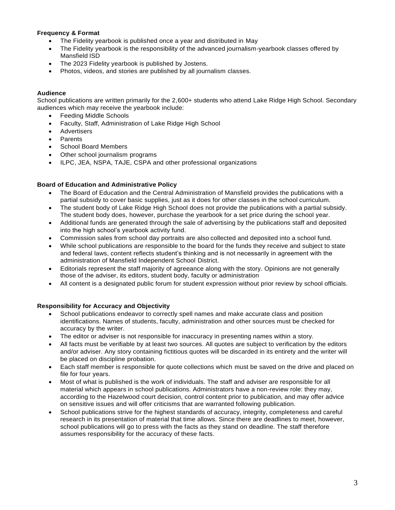#### **Frequency & Format**

- The Fidelity yearbook is published once a year and distributed in May
- The Fidelity yearbook is the responsibility of the advanced journalism-yearbook classes offered by Mansfield ISD
- The 2023 Fidelity yearbook is published by Jostens.
- Photos, videos, and stories are published by all journalism classes.

#### **Audience**

School publications are written primarily for the 2,600+ students who attend Lake Ridge High School. Secondary audiences which may receive the yearbook include:

- Feeding Middle Schools
- Faculty, Staff, Administration of Lake Ridge High School
- Advertisers
- **Parents**
- School Board Members
- Other school journalism programs
- ILPC, JEA, NSPA, TAJE, CSPA and other professional organizations

#### **Board of Education and Administrative Policy**

- The Board of Education and the Central Administration of Mansfield provides the publications with a partial subsidy to cover basic supplies, just as it does for other classes in the school curriculum.
- The student body of Lake Ridge High School does not provide the publications with a partial subsidy. The student body does, however, purchase the yearbook for a set price during the school year.
- Additional funds are generated through the sale of advertising by the publications staff and deposited into the high school's yearbook activity fund.
- Commission sales from school day portraits are also collected and deposited into a school fund.
- While school publications are responsible to the board for the funds they receive and subject to state and federal laws, content reflects student's thinking and is not necessarily in agreement with the administration of Mansfield Independent School District.
- Editorials represent the staff majority of agreeance along with the story. Opinions are not generally those of the adviser, its editors, student body, faculty or administration
- All content is a designated public forum for student expression without prior review by school officials.

#### **Responsibility for Accuracy and Objectivity**

- School publications endeavor to correctly spell names and make accurate class and position identifications. Names of students, faculty, administration and other sources must be checked for accuracy by the writer.
- The editor or adviser is not responsible for inaccuracy in presenting names within a story.
- All facts must be verifiable by at least two sources. All quotes are subject to verification by the editors and/or adviser. Any story containing fictitious quotes will be discarded in its entirety and the writer will be placed on discipline probation.
- Each staff member is responsible for quote collections which must be saved on the drive and placed on file for four years.
- Most of what is published is the work of individuals. The staff and adviser are responsible for all material which appears in school publications. Administrators have a non-review role: they may, according to the Hazelwood court decision, control content prior to publication, and may offer advice on sensitive issues and will offer criticisms that are warranted following publication.
- School publications strive for the highest standards of accuracy, integrity, completeness and careful research in its presentation of material that time allows. Since there are deadlines to meet, however, school publications will go to press with the facts as they stand on deadline. The staff therefore assumes responsibility for the accuracy of these facts.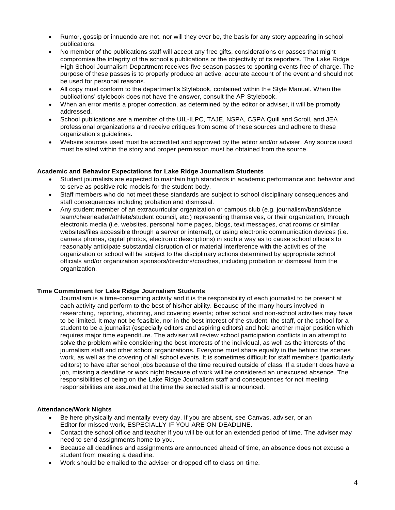- Rumor, gossip or innuendo are not, nor will they ever be, the basis for any story appearing in school publications.
- No member of the publications staff will accept any free gifts, considerations or passes that might compromise the integrity of the school's publications or the objectivity of its reporters. The Lake Ridge High School Journalism Department receives five season passes to sporting events free of charge. The purpose of these passes is to properly produce an active, accurate account of the event and should not be used for personal reasons.
- All copy must conform to the department's Stylebook, contained within the Style Manual. When the publications' stylebook does not have the answer, consult the AP Stylebook.
- When an error merits a proper correction, as determined by the editor or adviser, it will be promptly addressed.
- School publications are a member of the UIL-ILPC, TAJE, NSPA, CSPA Quill and Scroll, and JEA professional organizations and receive critiques from some of these sources and adhere to these organization's guidelines.
- Website sources used must be accredited and approved by the editor and/or adviser. Any source used must be sited within the story and proper permission must be obtained from the source.

#### **Academic and Behavior Expectations for Lake Ridge Journalism Students**

- Student journalists are expected to maintain high standards in academic performance and behavior and to serve as positive role models for the student body.
- Staff members who do not meet these standards are subject to school disciplinary consequences and staff consequences including probation and dismissal.
- Any student member of an extracurricular organization or campus club (e.g. journalism/band/dance team/cheerleader/athlete/student council, etc.) representing themselves, or their organization, through electronic media (i.e. websites, personal home pages, blogs, text messages, chat rooms or similar websites/files accessible through a server or internet), or using electronic communication devices (i.e. camera phones, digital photos, electronic descriptions) in such a way as to cause school officials to reasonably anticipate substantial disruption of or material interference with the activities of the organization or school will be subject to the disciplinary actions determined by appropriate school officials and/or organization sponsors/directors/coaches, including probation or dismissal from the organization.

#### **Time Commitment for Lake Ridge Journalism Students**

Journalism is a time-consuming activity and it is the responsibility of each journalist to be present at each activity and perform to the best of his/her ability. Because of the many hours involved in researching, reporting, shooting, and covering events; other school and non-school activities may have to be limited. It may not be feasible, nor in the best interest of the student, the staff, or the school for a student to be a journalist (especially editors and aspiring editors) and hold another major position which requires major time expenditure. The adviser will review school participation conflicts in an attempt to solve the problem while considering the best interests of the individual, as well as the interests of the journalism staff and other school organizations. Everyone must share equally in the behind the scenes work, as well as the covering of all school events. It is sometimes difficult for staff members (particularly editors) to have after school jobs because of the time required outside of class. If a student does have a job, missing a deadline or work night because of work will be considered an unexcused absence. The responsibilities of being on the Lake Ridge Journalism staff and consequences for not meeting responsibilities are assumed at the time the selected staff is announced.

#### **Attendance/Work Nights**

- Be here physically and mentally every day. If you are absent, see Canvas, adviser, or an Editor for missed work, ESPECIALLY IF YOU ARE ON DEADLINE.
- Contact the school office and teacher if you will be out for an extended period of time. The adviser may need to send assignments home to you.
- Because all deadlines and assignments are announced ahead of time, an absence does not excuse a student from meeting a deadline.
- Work should be emailed to the adviser or dropped off to class on time.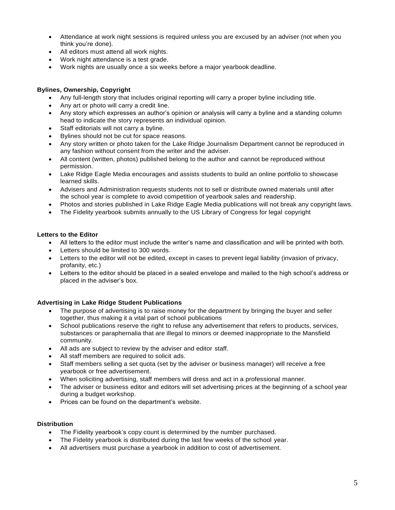- Attendance at work night sessions is required unless you are excused by an adviser (not when you think you're done).
- All editors must attend all work nights.
- Work night attendance is a test grade.
- Work nights are usually once a six weeks before a major yearbook deadline.

#### **Bylines, Ownership, Copyright**

- Any full-length story that includes original reporting will carry a proper byline including title.
- Any art or photo will carry a credit line.
- Any story which expresses an author's opinion or analysis will carry a byline and a standing column head to indicate the story represents an individual opinion.
- Staff editorials will not carry a byline.
- Bylines should not be cut for space reasons.
- Any story written or photo taken for the Lake Ridge Journalism Department cannot be reproduced in any fashion without consent from the writer and the adviser.
- All content (written, photos) published belong to the author and cannot be reproduced without permission.
- Lake Ridge Eagle Media encourages and assists students to build an online portfolio to showcase learned skills.
- Advisers and Administration requests students not to sell or distribute owned materials until after the school year is complete to avoid competition of yearbook sales and readership.
- Photos and stories published in Lake Ridge Eagle Media publications will not break any copyright laws.
- The Fidelity yearbook submits annually to the US Library of Congress for legal copyright

#### **Letters to the Editor**

- All letters to the editor must include the writer's name and classification and will be printed with both.
- Letters should be limited to 300 words.
- Letters to the editor will not be edited, except in cases to prevent legal liability (invasion of privacy, profanity, etc.)
- Letters to the editor should be placed in a sealed envelope and mailed to the high school's address or placed in the adviser's box.

#### **Advertising in Lake Ridge Student Publications**

- The purpose of advertising is to raise money for the department by bringing the buyer and seller together, thus making it a vital part of school publications
- School publications reserve the right to refuse any advertisement that refers to products, services, substances or paraphernalia that are illegal to minors or deemed inappropriate to the Mansfield community.
- All ads are subject to review by the adviser and editor staff.
- All staff members are required to solicit ads.
- Staff members selling a set quota (set by the adviser or business manager) will receive a free yearbook or free advertisement.
- When soliciting advertising, staff members will dress and act in a professional manner.
- The adviser or business editor and editors will set advertising prices at the beginning of a school year during a budget workshop.
- Prices can be found on the department's website.

#### **Distribution**

- The Fidelity yearbook's copy count is determined by the number purchased.
- The Fidelity yearbook is distributed during the last few weeks of the school year.
- All advertisers must purchase a yearbook in addition to cost of advertisement.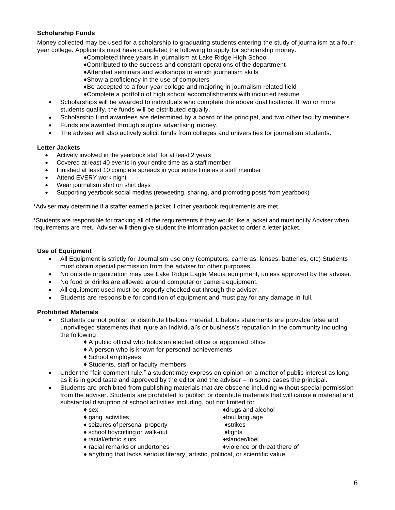#### **Scholarship Funds**

Money collected may be used for a scholarship to graduating students entering the study of journalism at a fouryear college. Applicants must have completed the following to apply for scholarship money.

- ♦Completed three years in journalism at Lake Ridge High School
- ♦Contributed to the success and constant operations of the department
- ♦Attended seminars and workshops to enrich journalism skills
- ♦Show a proficiency in the use of computers
- ♦Be accepted to a four-year college and majoring in journalism related field
- ♦Complete a portfolio of high school accomplishments with included resume
- Scholarships will be awarded to individuals who complete the above qualifications. If two or more students qualify, the funds will be distributed equally.
- Scholarship fund awardees are determined by a board of the principal, and two other faculty members.
- Funds are awarded through surplus advertising money.
- The adviser will also actively solicit funds from colleges and universities for journalism students.

#### **Letter Jackets**

- Actively involved in the yearbook staff for at least 2 years
- Covered at least 40 events in your entire time as a staff member
- Finished at least 10 complete spreads in your entire time as a staff member
- Attend EVERY work night
- Wear journalism shirt on shirt days
- Supporting yearbook social medias (retweeting, sharing, and promoting posts from yearbook)

\*Adviser may determine if a staffer earned a jacket if other yearbook requirements are met.

\*Students are responsible for tracking all of the requirements if they would like a jacket and must notify Adviser when requirements are met. Adviser will then give student the information packet to order a letter jacket.

#### **Use of Equipment**

- All Equipment is strictly for Journalism use only (computers, cameras, lenses, batteries, etc) Students must obtain special permission from the adviser for other purposes.
- No outside organization may use Lake Ridge Eagle Media equipment, unless approved by the adviser.
- No food or drinks are allowed around computer or camera equipment.
- All equipment used must be properly checked out through the adviser.
- Students are responsible for condition of equipment and must pay for any damage in full.

#### **Prohibited Materials**

- Students cannot publish or distribute libelous material. Libelous statements are provable false and unprivileged statements that injure an individual's or business's reputation in the community including the following
	- ◆ A public official who holds an elected office or appointed office
	- ◆ A person who is known for personal achievements
	- ◆ School employees
	- ◆ Students, staff or faculty members
- Under the "fair comment rule," a student may express an opinion on a matter of public interest as long as it is in good taste and approved by the editor and the adviser – in some cases the principal.
- Students are prohibited from publishing materials that are obscene including without special permission from the adviser. Students are prohibited to publish or distribute materials that will cause a material and substantial disruption of school activities including, but not limited to:
	-
	- ◆ gang activities → the set of the set of the set of the set of the set of the set of the set of the set of the set of the set of the set of the set of the set of the set of the set of the set of the set of the set of the
	- seizures of personal property  $\bullet$ strikes
	- school boycotting or walk-out  $\bullet$  fights
	- racial/ethnic slurs  $\bullet$  slander/libel
	- ♦ racial remarks or undertones ♦violence or threat there of
	- $\bullet$  sex  $\bullet$  drugs and alcohol
		-
		-
		-
		-
		-
	- ♦ anything that lacks serious literary, artistic, political, or scientific value